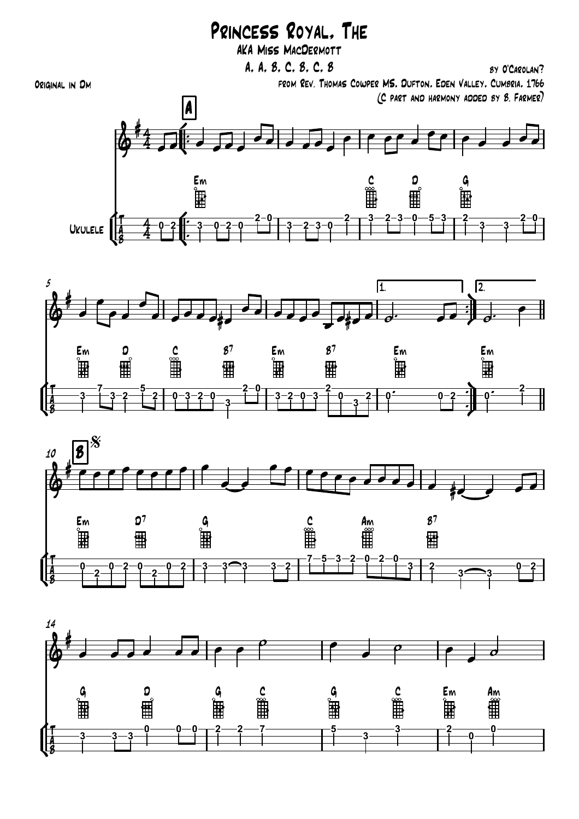## Princess Royal, The

AKA Miss MacDermott